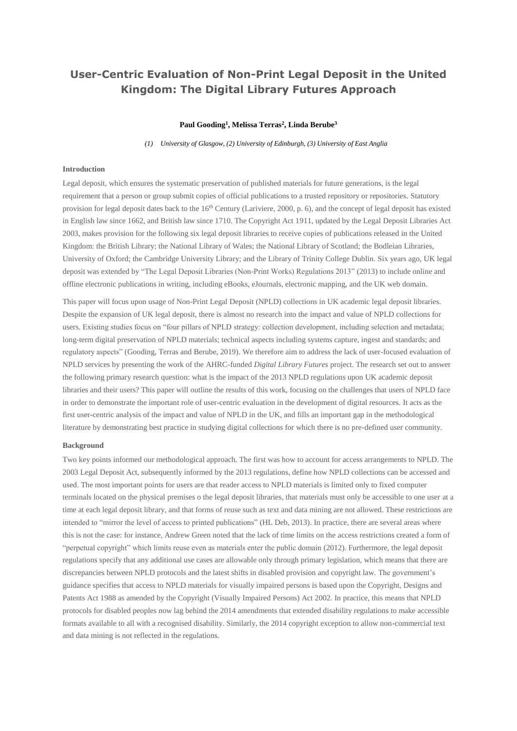# **User-Centric Evaluation of Non-Print Legal Deposit in the United Kingdom: The Digital Library Futures Approach**

### **Paul Gooding<sup>1</sup> , Melissa Terras<sup>2</sup> , Linda Berube<sup>3</sup>**

*(1) University of Glasgow, (2) University of Edinburgh, (3) University of East Anglia*

## **Introduction**

Legal deposit, which ensures the systematic preservation of published materials for future generations, is the legal requirement that a person or group submit copies of official publications to a trusted repository or repositories. Statutory provision for legal deposit dates back to the 16<sup>th</sup> Century (Lariviere, 2000, p. 6), and the concept of legal deposit has existed in English law since 1662, and British law since 1710. The Copyright Act 1911, updated by the Legal Deposit Libraries Act 2003, makes provision for the following six legal deposit libraries to receive copies of publications released in the United Kingdom: the British Library; the National Library of Wales; the National Library of Scotland; the Bodleian Libraries, University of Oxford; the Cambridge University Library; and the Library of Trinity College Dublin. Six years ago, UK legal deposit was extended by "The Legal Deposit Libraries (Non-Print Works) Regulations 2013" (2013) to include online and offline electronic publications in writing, including eBooks, eJournals, electronic mapping, and the UK web domain.

This paper will focus upon usage of Non-Print Legal Deposit (NPLD) collections in UK academic legal deposit libraries. Despite the expansion of UK legal deposit, there is almost no research into the impact and value of NPLD collections for users. Existing studies focus on "four pillars of NPLD strategy: collection development, including selection and metadata; long-term digital preservation of NPLD materials; technical aspects including systems capture, ingest and standards; and regulatory aspects" (Gooding, Terras and Berube, 2019). We therefore aim to address the lack of user-focused evaluation of NPLD services by presenting the work of the AHRC-funded *Digital Library Futures* project. The research set out to answer the following primary research question: what is the impact of the 2013 NPLD regulations upon UK academic deposit libraries and their users? This paper will outline the results of this work, focusing on the challenges that users of NPLD face in order to demonstrate the important role of user-centric evaluation in the development of digital resources. It acts as the first user-centric analysis of the impact and value of NPLD in the UK, and fills an important gap in the methodological literature by demonstrating best practice in studying digital collections for which there is no pre-defined user community.

#### **Background**

Two key points informed our methodological approach. The first was how to account for access arrangements to NPLD. The 2003 Legal Deposit Act, subsequently informed by the 2013 regulations, define how NPLD collections can be accessed and used. The most important points for users are that reader access to NPLD materials is limited only to fixed computer terminals located on the physical premises o the legal deposit libraries, that materials must only be accessible to one user at a time at each legal deposit library, and that forms of reuse such as text and data mining are not allowed. These restrictions are intended to "mirror the level of access to printed publications" (HL Deb, 2013). In practice, there are several areas where this is not the case: for instance, Andrew Green noted that the lack of time limits on the access restrictions created a form of "perpetual copyright" which limits reuse even as materials enter the public domain (2012). Furthermore, the legal deposit regulations specify that any additional use cases are allowable only through primary legislation, which means that there are discrepancies between NPLD protocols and the latest shifts in disabled provision and copyright law. The government's guidance specifies that access to NPLD materials for visually impaired persons is based upon the Copyright, Designs and Patents Act 1988 as amended by the Copyright (Visually Impaired Persons) Act 2002. In practice, this means that NPLD protocols for disabled peoples now lag behind the 2014 amendments that extended disability regulations to make accessible formats available to all with a recognised disability. Similarly, the 2014 copyright exception to allow non-commercial text and data mining is not reflected in the regulations.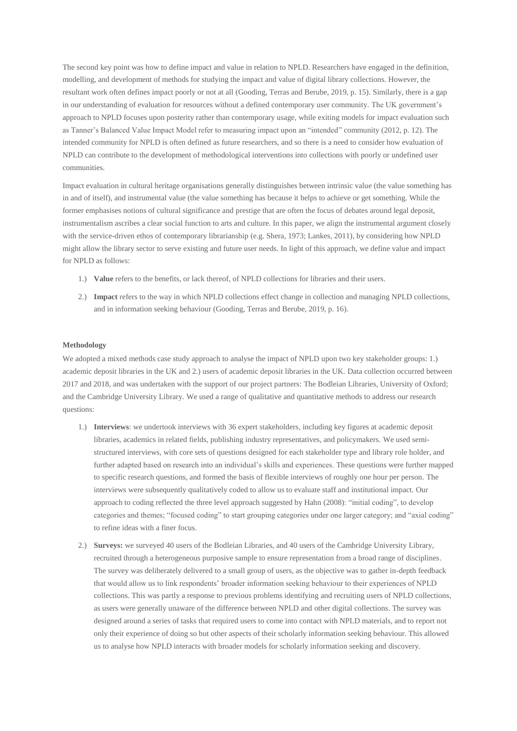The second key point was how to define impact and value in relation to NPLD. Researchers have engaged in the definition, modelling, and development of methods for studying the impact and value of digital library collections. However, the resultant work often defines impact poorly or not at all (Gooding, Terras and Berube, 2019, p. 15). Similarly, there is a gap in our understanding of evaluation for resources without a defined contemporary user community. The UK government's approach to NPLD focuses upon posterity rather than contemporary usage, while exiting models for impact evaluation such as Tanner's Balanced Value Impact Model refer to measuring impact upon an "intended" community (2012, p. 12). The intended community for NPLD is often defined as future researchers, and so there is a need to consider how evaluation of NPLD can contribute to the development of methodological interventions into collections with poorly or undefined user communities.

Impact evaluation in cultural heritage organisations generally distinguishes between intrinsic value (the value something has in and of itself), and instrumental value (the value something has because it helps to achieve or get something. While the former emphasises notions of cultural significance and prestige that are often the focus of debates around legal deposit, instrumentalism ascribes a clear social function to arts and culture. In this paper, we align the instrumental argument closely with the service-driven ethos of contemporary librarianship (e.g. Shera, 1973; Lankes, 2011), by considering how NPLD might allow the library sector to serve existing and future user needs. In light of this approach, we define value and impact for NPLD as follows:

- 1.) **Value** refers to the benefits, or lack thereof, of NPLD collections for libraries and their users.
- 2.) **Impact** refers to the way in which NPLD collections effect change in collection and managing NPLD collections, and in information seeking behaviour (Gooding, Terras and Berube, 2019, p. 16).

#### **Methodology**

We adopted a mixed methods case study approach to analyse the impact of NPLD upon two key stakeholder groups: 1.) academic deposit libraries in the UK and 2.) users of academic deposit libraries in the UK. Data collection occurred between 2017 and 2018, and was undertaken with the support of our project partners: The Bodleian Libraries, University of Oxford; and the Cambridge University Library. We used a range of qualitative and quantitative methods to address our research questions:

- 1.) **Interviews**: we undertook interviews with 36 expert stakeholders, including key figures at academic deposit libraries, academics in related fields, publishing industry representatives, and policymakers. We used semistructured interviews, with core sets of questions designed for each stakeholder type and library role holder, and further adapted based on research into an individual's skills and experiences. These questions were further mapped to specific research questions, and formed the basis of flexible interviews of roughly one hour per person. The interviews were subsequently qualitatively coded to allow us to evaluate staff and institutional impact. Our approach to coding reflected the three level approach suggested by Hahn (2008): "initial coding", to develop categories and themes; "focused coding" to start grouping categories under one larger category; and "axial coding" to refine ideas with a finer focus.
- 2.) **Surveys:** we surveyed 40 users of the Bodleian Libraries, and 40 users of the Cambridge University Library, recruited through a heterogeneous purposive sample to ensure representation from a broad range of disciplines. The survey was deliberately delivered to a small group of users, as the objective was to gather in-depth feedback that would allow us to link respondents' broader information seeking behaviour to their experiences of NPLD collections. This was partly a response to previous problems identifying and recruiting users of NPLD collections, as users were generally unaware of the difference between NPLD and other digital collections. The survey was designed around a series of tasks that required users to come into contact with NPLD materials, and to report not only their experience of doing so but other aspects of their scholarly information seeking behaviour. This allowed us to analyse how NPLD interacts with broader models for scholarly information seeking and discovery.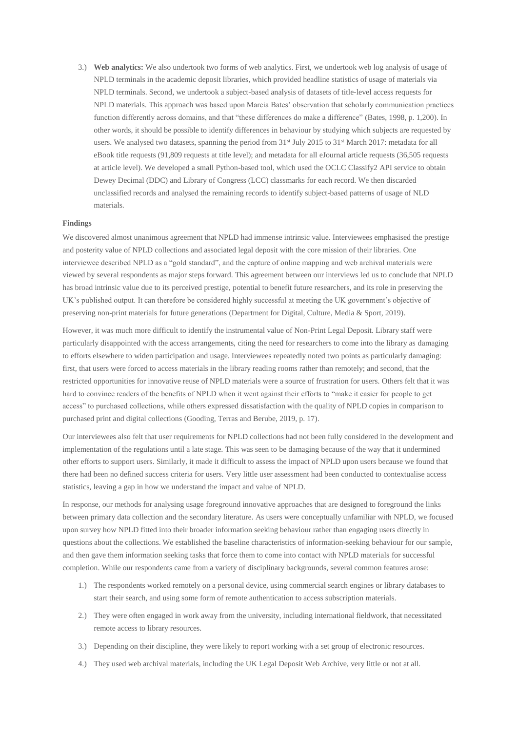3.) **Web analytics:** We also undertook two forms of web analytics. First, we undertook web log analysis of usage of NPLD terminals in the academic deposit libraries, which provided headline statistics of usage of materials via NPLD terminals. Second, we undertook a subject-based analysis of datasets of title-level access requests for NPLD materials. This approach was based upon Marcia Bates' observation that scholarly communication practices function differently across domains, and that "these differences do make a difference" (Bates, 1998, p. 1,200). In other words, it should be possible to identify differences in behaviour by studying which subjects are requested by users. We analysed two datasets, spanning the period from 31<sup>st</sup> July 2015 to 31<sup>st</sup> March 2017: metadata for all eBook title requests (91,809 requests at title level); and metadata for all eJournal article requests (36,505 requests at article level). We developed a small Python-based tool, which used the OCLC Classify2 API service to obtain Dewey Decimal (DDC) and Library of Congress (LCC) classmarks for each record. We then discarded unclassified records and analysed the remaining records to identify subject-based patterns of usage of NLD materials.

## **Findings**

We discovered almost unanimous agreement that NPLD had immense intrinsic value. Interviewees emphasised the prestige and posterity value of NPLD collections and associated legal deposit with the core mission of their libraries. One interviewee described NPLD as a "gold standard", and the capture of online mapping and web archival materials were viewed by several respondents as major steps forward. This agreement between our interviews led us to conclude that NPLD has broad intrinsic value due to its perceived prestige, potential to benefit future researchers, and its role in preserving the UK's published output. It can therefore be considered highly successful at meeting the UK government's objective of preserving non-print materials for future generations (Department for Digital, Culture, Media & Sport, 2019).

However, it was much more difficult to identify the instrumental value of Non-Print Legal Deposit. Library staff were particularly disappointed with the access arrangements, citing the need for researchers to come into the library as damaging to efforts elsewhere to widen participation and usage. Interviewees repeatedly noted two points as particularly damaging: first, that users were forced to access materials in the library reading rooms rather than remotely; and second, that the restricted opportunities for innovative reuse of NPLD materials were a source of frustration for users. Others felt that it was hard to convince readers of the benefits of NPLD when it went against their efforts to "make it easier for people to get access" to purchased collections, while others expressed dissatisfaction with the quality of NPLD copies in comparison to purchased print and digital collections (Gooding, Terras and Berube, 2019, p. 17).

Our interviewees also felt that user requirements for NPLD collections had not been fully considered in the development and implementation of the regulations until a late stage. This was seen to be damaging because of the way that it undermined other efforts to support users. Similarly, it made it difficult to assess the impact of NPLD upon users because we found that there had been no defined success criteria for users. Very little user assessment had been conducted to contextualise access statistics, leaving a gap in how we understand the impact and value of NPLD.

In response, our methods for analysing usage foreground innovative approaches that are designed to foreground the links between primary data collection and the secondary literature. As users were conceptually unfamiliar with NPLD, we focused upon survey how NPLD fitted into their broader information seeking behaviour rather than engaging users directly in questions about the collections. We established the baseline characteristics of information-seeking behaviour for our sample, and then gave them information seeking tasks that force them to come into contact with NPLD materials for successful completion. While our respondents came from a variety of disciplinary backgrounds, several common features arose:

- 1.) The respondents worked remotely on a personal device, using commercial search engines or library databases to start their search, and using some form of remote authentication to access subscription materials.
- 2.) They were often engaged in work away from the university, including international fieldwork, that necessitated remote access to library resources.
- 3.) Depending on their discipline, they were likely to report working with a set group of electronic resources.
- 4.) They used web archival materials, including the UK Legal Deposit Web Archive, very little or not at all.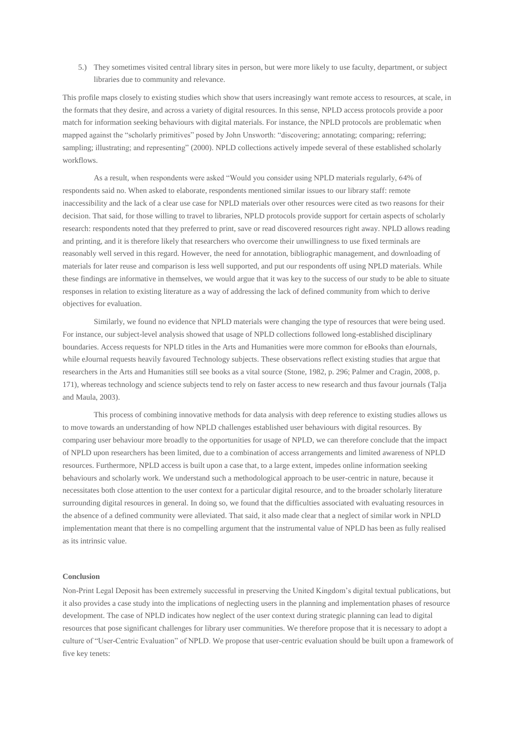5.) They sometimes visited central library sites in person, but were more likely to use faculty, department, or subject libraries due to community and relevance.

This profile maps closely to existing studies which show that users increasingly want remote access to resources, at scale, in the formats that they desire, and across a variety of digital resources. In this sense, NPLD access protocols provide a poor match for information seeking behaviours with digital materials. For instance, the NPLD protocols are problematic when mapped against the "scholarly primitives" posed by John Unsworth: "discovering; annotating; comparing; referring; sampling; illustrating; and representing" (2000). NPLD collections actively impede several of these established scholarly workflows.

As a result, when respondents were asked "Would you consider using NPLD materials regularly, 64% of respondents said no. When asked to elaborate, respondents mentioned similar issues to our library staff: remote inaccessibility and the lack of a clear use case for NPLD materials over other resources were cited as two reasons for their decision. That said, for those willing to travel to libraries, NPLD protocols provide support for certain aspects of scholarly research: respondents noted that they preferred to print, save or read discovered resources right away. NPLD allows reading and printing, and it is therefore likely that researchers who overcome their unwillingness to use fixed terminals are reasonably well served in this regard. However, the need for annotation, bibliographic management, and downloading of materials for later reuse and comparison is less well supported, and put our respondents off using NPLD materials. While these findings are informative in themselves, we would argue that it was key to the success of our study to be able to situate responses in relation to existing literature as a way of addressing the lack of defined community from which to derive objectives for evaluation.

Similarly, we found no evidence that NPLD materials were changing the type of resources that were being used. For instance, our subject-level analysis showed that usage of NPLD collections followed long-established disciplinary boundaries. Access requests for NPLD titles in the Arts and Humanities were more common for eBooks than eJournals, while eJournal requests heavily favoured Technology subjects. These observations reflect existing studies that argue that researchers in the Arts and Humanities still see books as a vital source (Stone, 1982, p. 296; Palmer and Cragin, 2008, p. 171), whereas technology and science subjects tend to rely on faster access to new research and thus favour journals (Talja and Maula, 2003).

This process of combining innovative methods for data analysis with deep reference to existing studies allows us to move towards an understanding of how NPLD challenges established user behaviours with digital resources. By comparing user behaviour more broadly to the opportunities for usage of NPLD, we can therefore conclude that the impact of NPLD upon researchers has been limited, due to a combination of access arrangements and limited awareness of NPLD resources. Furthermore, NPLD access is built upon a case that, to a large extent, impedes online information seeking behaviours and scholarly work. We understand such a methodological approach to be user-centric in nature, because it necessitates both close attention to the user context for a particular digital resource, and to the broader scholarly literature surrounding digital resources in general. In doing so, we found that the difficulties associated with evaluating resources in the absence of a defined community were alleviated. That said, it also made clear that a neglect of similar work in NPLD implementation meant that there is no compelling argument that the instrumental value of NPLD has been as fully realised as its intrinsic value.

## **Conclusion**

Non-Print Legal Deposit has been extremely successful in preserving the United Kingdom's digital textual publications, but it also provides a case study into the implications of neglecting users in the planning and implementation phases of resource development. The case of NPLD indicates how neglect of the user context during strategic planning can lead to digital resources that pose significant challenges for library user communities. We therefore propose that it is necessary to adopt a culture of "User-Centric Evaluation" of NPLD. We propose that user-centric evaluation should be built upon a framework of five key tenets: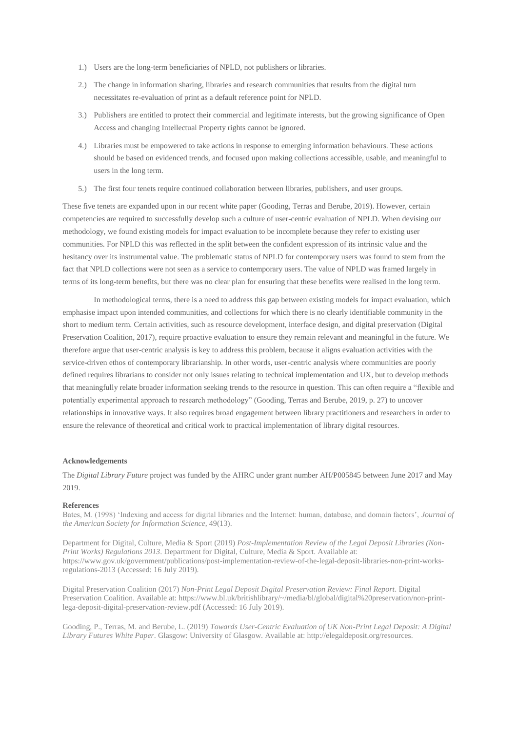- 1.) Users are the long-term beneficiaries of NPLD, not publishers or libraries.
- 2.) The change in information sharing, libraries and research communities that results from the digital turn necessitates re-evaluation of print as a default reference point for NPLD.
- 3.) Publishers are entitled to protect their commercial and legitimate interests, but the growing significance of Open Access and changing Intellectual Property rights cannot be ignored.
- 4.) Libraries must be empowered to take actions in response to emerging information behaviours. These actions should be based on evidenced trends, and focused upon making collections accessible, usable, and meaningful to users in the long term.
- 5.) The first four tenets require continued collaboration between libraries, publishers, and user groups.

These five tenets are expanded upon in our recent white paper (Gooding, Terras and Berube, 2019). However, certain competencies are required to successfully develop such a culture of user-centric evaluation of NPLD. When devising our methodology, we found existing models for impact evaluation to be incomplete because they refer to existing user communities. For NPLD this was reflected in the split between the confident expression of its intrinsic value and the hesitancy over its instrumental value. The problematic status of NPLD for contemporary users was found to stem from the fact that NPLD collections were not seen as a service to contemporary users. The value of NPLD was framed largely in terms of its long-term benefits, but there was no clear plan for ensuring that these benefits were realised in the long term.

In methodological terms, there is a need to address this gap between existing models for impact evaluation, which emphasise impact upon intended communities, and collections for which there is no clearly identifiable community in the short to medium term. Certain activities, such as resource development, interface design, and digital preservation (Digital Preservation Coalition, 2017), require proactive evaluation to ensure they remain relevant and meaningful in the future. We therefore argue that user-centric analysis is key to address this problem, because it aligns evaluation activities with the service-driven ethos of contemporary librarianship. In other words, user-centric analysis where communities are poorly defined requires librarians to consider not only issues relating to technical implementation and UX, but to develop methods that meaningfully relate broader information seeking trends to the resource in question. This can often require a "flexible and potentially experimental approach to research methodology" (Gooding, Terras and Berube, 2019, p. 27) to uncover relationships in innovative ways. It also requires broad engagement between library practitioners and researchers in order to ensure the relevance of theoretical and critical work to practical implementation of library digital resources.

## **Acknowledgements**

The *Digital Library Future* project was funded by the AHRC under grant number AH/P005845 between June 2017 and May 2019.

#### **References**

Bates, M. (1998) 'Indexing and access for digital libraries and the Internet: human, database, and domain factors', *Journal of the American Society for Information Science*, 49(13).

Department for Digital, Culture, Media & Sport (2019) *Post-Implementation Review of the Legal Deposit Libraries (Non-Print Works) Regulations 2013*. Department for Digital, Culture, Media & Sport. Available at: https://www.gov.uk/government/publications/post-implementation-review-of-the-legal-deposit-libraries-non-print-worksregulations-2013 (Accessed: 16 July 2019).

Digital Preservation Coalition (2017) *Non-Print Legal Deposit Digital Preservation Review: Final Report*. Digital Preservation Coalition. Available at: https://www.bl.uk/britishlibrary/~/media/bl/global/digital%20preservation/non-printlega-deposit-digital-preservation-review.pdf (Accessed: 16 July 2019).

Gooding, P., Terras, M. and Berube, L. (2019) *Towards User-Centric Evaluation of UK Non-Print Legal Deposit: A Digital Library Futures White Paper*. Glasgow: University of Glasgow. Available at: http://elegaldeposit.org/resources.